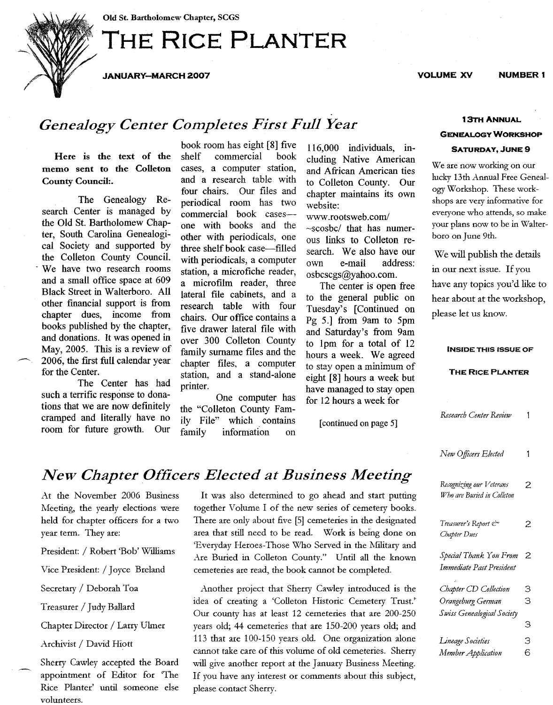Old St. Bartholomew Chapter, SCGS

# **THE RICE PLANTER**

JANUARY-MARCH 2007 VOLUME XV NUMBER 1

## *Genealogy Center Completes First Full Year*

Here is the text of the memo sent to the Colleton CountyCouncil:.

The Genealogy Research Center is managed by the Old St. Bartholomew Chapter, South Carolina Genealogical Society and supported by the Colleton County Council. . We have two research rooms and a small office space at 609 Black Street in Walterboro. All other financial support is from chapter dues, income from books published by the chapter, and donations. It was opened in May, 2005. This is a review of 2006, the first full calendar year for the Center.

The Center has had such a terrific response to donations that we are now defmitely cramped and literally have no room for future growth. Our book room has eight [8] five<br>shelf commercial book commercial cases, a computer station, and a research table with four chairs. Our files and periodical room has two commercial book casesone with books and the other with periodicals, one three shelf book case-filled with periodicals, a computer station, a microfiche reader, a microfilm reader, three lateral file cabinets, and a research table with four chairs. Our office contains a five drawer lateral fIle with over 300 Colleton County family surname files and the chapter fIles, a computer station, and a stand-alone printer.

One computer has the "Colleton County Family File" which contains<br>family information on information on

116,000 individuals, including Native American and African American ties to Colleton County. Our chapter maintains its own website:

www.rootsweb.com/ ~scosbc/ that has numerous links to Colleton research. We also have our own e-mail address: osbcscgs@yahoo.com.

The center is open free to the general public on Tuesday's [Continued on Pg 5.] from 9am to 5pm and Saturday's from 9am to lpm for a total of 12 hours a week. We agreed to stay open a minimum of eight [8] hours a week but have managed to stay open for 12 hours a week for

[continued on page 5]

|                  | New Officers Elected       | 1 |
|------------------|----------------------------|---|
| Meeting          | Recognizing our Veterans   | 2 |
| nd start putting | Who are Buried in Colleton |   |
| cemetery books.  |                            |   |
| n the designated | Treasurer's Report ex      | 2 |
| being done on    | Chapter Dues               |   |
| the Military and |                            |   |
| l all the known  | Special Thank You From 2   |   |
| ompleted         | Immediate Past President   |   |

| Chapter CD Collection      | З |
|----------------------------|---|
| Orangeburg German          | З |
| Swiss Genealogical Society |   |
|                            | З |
| <b>Lineage Societies</b>   | З |
| Member Application         | 6 |
|                            |   |

# $New Chapter$  *Officers Elected at Business Meeting*

At the November 2006 Business Meeting, the yearly elections were held for chapter officers for a two year term. They are:

President: / Robert 'Bob' Williams

Vice President: / Joyce Breland

Secretary / Deborah Toa

Treasurer / Judy Ballard

Chapter Director / Larry Ulmer

Archivist / David Hiott

Sherry Cawley accepted the Board appointment of Editor for The Rice Planter' until someone else volunteers.

It was also determined to go ahead and start putting together Volume I of the new series of cemetery books. There are only about five [5] cemeteries in the designated area that still need to be read. Work is being done on 'Everyday Heroes-Those Who Served in the Nfilitary and Are Buried in Colleton County." Until all the known cemeteries are read, the book cannot be completed.

Another project that Sherry Cawley introduced is the idea of creating a 'Colleton Historic Cemetery Trust.' Our county has at least 12 cemeteries that are 200-250 years old; 44 cemeteries that are 150-200 years old; and 113 that are 100-150 years old. One organization alone cannot take care of this volume of old cemeteries. Sherry will give another report at the January Business Meeting. If you have any interest or comments about this subject, please contact Sherry.

### 13TH ANNUAL GENEALOGY WORKSHOP

### SATURDAY, JUNE 9

We are now working on our lucky 13th Annual Free Genealogy Workshop. These workshops are very informative for everyone who attends, so make your plans now to be in Walterboro on June 9th.

We will publish the details in our next issue. If you have any topics you'd like to hear about at the workshop, please let us know.

#### INSIDE THIS ISSUE OF

#### THE RICE PLANTER

 $\mathbf{1}$ 

*Research Center Review* 

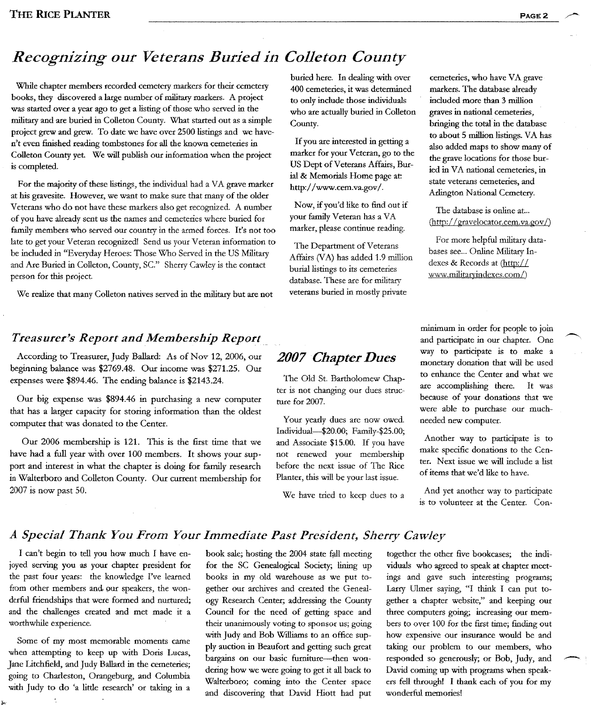# *Recognizing our Veterans Buried in Colleton County*

While chapter members recorded cemetery markers for their cemetery books, they discovered a large number of military markers. A project was started over a year ago to get a listing of those who served in the military and are buried in Colleton County. What started out as a simple project grew and grew. To date we have over 2500 listings and we haven't even finished reading tombstones for all the known cemeteries in Colleton County yet We will publish our information when the project is completed.

For the majority of these listings, the individual had a VA grave marker at his gravesite. However, we want to make sure that many of the older Veterans who do not have these markers also get recognized. A number of you have already sent us the names and cemeteries where buried for family members who served our country in the armed forces. It's not too late to get your Veteran recognized! Send us your Veteran information to be included in "Everyday Heroes: Those Who Served in the US Military and Are Buried in Colleton, County, Sc." Sherry Cawley is the contact person for this project.

We realize that many Colleton natives served in the military but are not

#### *Treasurer's Report and Membership Report*

According to Treasurer, Judy Ballard: As of Nov 12, 2006, our beginning balance was \$2769.48. Our income was \$271.25. Our expenses were \$894.46. The ending balance is \$2143.24.

Our big expense Was \$894.46 in purchasing a new computer that has a larger capacity for storing information than the oldest computer that was donated to the Center.

Our 2006 membership is 121. This is the first time that we have had a full year with over 100 members. It shows your support and interest in what the chapter is doing for family research in Walterboro and Colleton County. Our cuttent membership for 2007 is now past SO.

buried here. In dealing with over 400 cemeteries, it was determined to only include those individuals who are actually buried in Colleton County.

If you are interested in getting a marker for your Veteran, go to the US Dept of Veterans Affairs, Burial & Memorials Home page at: http://www.cem.va.gov/.

Now, if you'd like to find out if your family Veteran has a VA marker, please continue reading.

The Department of Veterans Affairs (VA) has added 1.9 million burial listings to its cemeteries database. These are for military veterans buried in mostly private

cemeteries, who have VA grave markers. The database already included more than 3 million graves in national cemeteries, bringing the total in the database to about 5 million listings. VA has also added maps to show many of the grave locations for those buried in VA national cemeteries, in state veterans cemeteries, and Arlington National Cemetery.

The database is online at... (http://gravelocator.cem.va.gov/)

For more helpful military databases see... Online Military Indexes & Records at (http:// www.militaryindexes.com/)

# *2007 Chapter Dues*

The Old St. Bartholomew Chapter is not changing our dues structure for 2007.

Your yearly dues are now owed. Individual-\$20.00; Family-\$25.00; and Associate \$15.00. If you have not renewed your membership before the next issue of The Rice Planter, this will be your last issue.

We have tried to keep dues to a

minimum in order for people to join and participate in our chapter. One way to participate is to make a monetary donation that will be used to enhance the Center and what we are accomplishing there. It was because of your donations that we were able to purchase our muchneeded new computer.

Another way to participate is to make specific donations to the Center. Next issue we will include a list of items that we'd like to have.

And yet another way to participate is to volunteer at the Center. Con-

### *A Special Thank You From Your Immediate Past President, Sherry Cawley*

I can't begin to tell you how much I have enjoyed serving you as your chapter president for the past four years: the knowledge *I've* leamed from other members and, pur speakers, the wonderful friendships that were formed and nurtured; and the challenges created and met made it a worthwhile experience.

Some of my most memorable moments came when attempting to keep up with Doris Lucas, Jane Litchfield, and Judy Ballard in the cemeteries; going to Charleston, Orangeburg, and Columbia with Judy to do 'a little research' or taking in a book sale; hosting the 2004 state fall meeting for the SC Genealogical Society; lining up books in my old warehouse as we put together our archives and created the Genealogy Research Center; addressing the County Council for the need of getting space and their unanimously voting to sponsor us; going with Judy and Bob Williams to an office supply auction in Beaufort and getting such great bargains on our basic furniture-then wondering how we were going to get it all back to Walterboro; coming into the Center space and discovering that David Hiott had put

together the other five bookcases; the individuals who agreed to speak at chapter meetings and gave such interesting programs; Larry Ulmer saying, "I think I can put together a chapter website," and keeping our three computers going; increasing our members to over 100 for the first time; finding out how expensive our insurance would be and taking our problem to our members, who responded so generously; or Bob, Judy, and ~ David coming up with programs when speakers fell through! I thank each of you for my wonderful memories!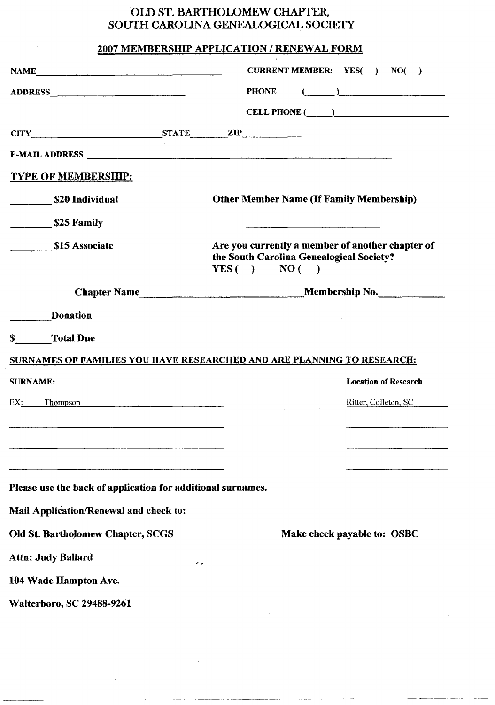## OLD ST. BARTHOLOMEW CHAPTER, SOUTH CAROLINA GENEALOGICAL SOCIETY

### 2007 MEMBERSHIP APPLICATION / RENEWAL FORM

| <b>CURRENT MEMBER:</b> YES()<br><b>NAME NAME</b><br>NO(<br>$\rightarrow$                                                                                                                                                                                                                                                                                                                                              |
|-----------------------------------------------------------------------------------------------------------------------------------------------------------------------------------------------------------------------------------------------------------------------------------------------------------------------------------------------------------------------------------------------------------------------|
| $\begin{picture}(20,10) \put(0,0){\dashbox{0.5}(5,0){ }} \put(15,0){\circle{1}} \put(15,0){\circle{1}} \put(15,0){\circle{1}} \put(15,0){\circle{1}} \put(15,0){\circle{1}} \put(15,0){\circle{1}} \put(15,0){\circle{1}} \put(15,0){\circle{1}} \put(15,0){\circle{1}} \put(15,0){\circle{1}} \put(15,0){\circle{1}} \put(15,0){\circle{1}} \put(15,0){\circle{1}} \put(15,0){\circle{1}} \put(15,0$<br><b>PHONE</b> |
| CELL PHONE (Call Contract Contract Cell Contract Cell Contract Cell Contract Cell Contract Cell Contract Cell                                                                                                                                                                                                                                                                                                         |
| CITY STATE ZIP                                                                                                                                                                                                                                                                                                                                                                                                        |
| <b>E-MAIL ADDRESS</b>                                                                                                                                                                                                                                                                                                                                                                                                 |
|                                                                                                                                                                                                                                                                                                                                                                                                                       |
| <b>Other Member Name (If Family Membership)</b>                                                                                                                                                                                                                                                                                                                                                                       |
|                                                                                                                                                                                                                                                                                                                                                                                                                       |
| Are you currently a member of another chapter of<br>the South Carolina Genealogical Society?<br>YES( ) NO( )                                                                                                                                                                                                                                                                                                          |
|                                                                                                                                                                                                                                                                                                                                                                                                                       |
|                                                                                                                                                                                                                                                                                                                                                                                                                       |
|                                                                                                                                                                                                                                                                                                                                                                                                                       |
| <b>SURNAMES OF FAMILIES YOU HAVE RESEARCHED AND ARE PLANNING TO RESEARCH:</b>                                                                                                                                                                                                                                                                                                                                         |
| <b>Location of Research</b>                                                                                                                                                                                                                                                                                                                                                                                           |
| EX: Thompson<br>Ritter, Colleton, SC                                                                                                                                                                                                                                                                                                                                                                                  |
| <u> 1980 - Johann Stoff, francuski filozof, francuski filozof, francuski filozof, francuski filozof, francuski filozof</u>                                                                                                                                                                                                                                                                                            |
|                                                                                                                                                                                                                                                                                                                                                                                                                       |
|                                                                                                                                                                                                                                                                                                                                                                                                                       |
| Please use the back of application for additional surnames.                                                                                                                                                                                                                                                                                                                                                           |
|                                                                                                                                                                                                                                                                                                                                                                                                                       |
| Make check payable to: OSBC                                                                                                                                                                                                                                                                                                                                                                                           |
|                                                                                                                                                                                                                                                                                                                                                                                                                       |
|                                                                                                                                                                                                                                                                                                                                                                                                                       |
| $^{o}$ o                                                                                                                                                                                                                                                                                                                                                                                                              |
|                                                                                                                                                                                                                                                                                                                                                                                                                       |
|                                                                                                                                                                                                                                                                                                                                                                                                                       |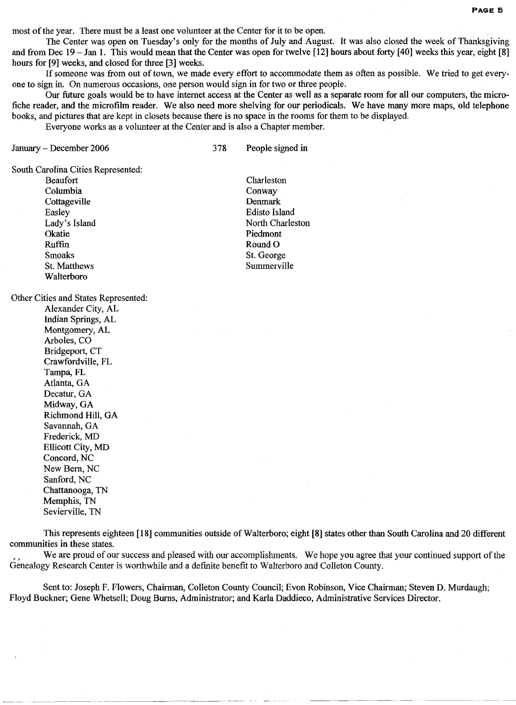most of the year. There must be a least one volunteer at the Center for it to be open.

The Center was open on Tuesday's only for the months of July and August. It was also closed the week of Thanksgiving and from Dec 19 - Jan 1. This would mean that the Center was open for twelve [12] hours about forty [40] weeks this year, eight [8] hours for [9] weeks, and closed for three [3] weeks.

If someone was from out of town, we made every effort to accommodate them as often as possible. We tried to get everyone to sign in. On numerous occasions, one person would sign in for two or three people.

Our future goals would be to have internet access at the Center as well as a separate room for all our computers, the microfiche reader, and the microfilm reader. We also need more shelving for our periodicals. We have many more maps, old telephone books, and pictures that are kept in closets because there is no space in the rooms for them to be displayed.

Everyone works as a volunteer at the Center and is also a Chapter member.

January - December 2006

378 People signed in

South Carolina Cities Represented:

Beaufort Columbia Cottageville Easley Lady's Island **Okatie** Ruffin Smoaks St. Matthews Walterboro

Other Cities and States Represented:

Alexander City, AL Indian Springs, AL Montgomery, AL Arboles, CO Bridgeport, CT Crawfordville, FL Tampa, FL Atlanta, GA Decatur, GA Midway, GA Richmond Hill, GA Savannah, GA Frederick, MD Ellicott City, MD Concord,NC New Bern, NC Sanford, NC Chattanooga, TN Memphis, TN Sevierville, TN

This represents eighteen [18] communities outside of Walterboro; eight (8] states other than South Carolina and 20 different communities in these states.

We are proud of our success and pleased with our accomplishments. We hope you agree that your continued support of the Genealogy Research Center is worthwhile and a defmite benefit to Walterboro and Colleton County.

Sent to: Joseph F. Flowers, Chairman, Colleton County Council; Evon Robinson, Vice Chairman; Steven D. Murdaugh; Floyd Buckner; Gene Whetsell; Doug Burns, Administrator; and Karla Daddieco, Administrative Services Director.

Charleston **Conway** Denmark Edisto Island North Charleston Piedmont Round O St. George Summerville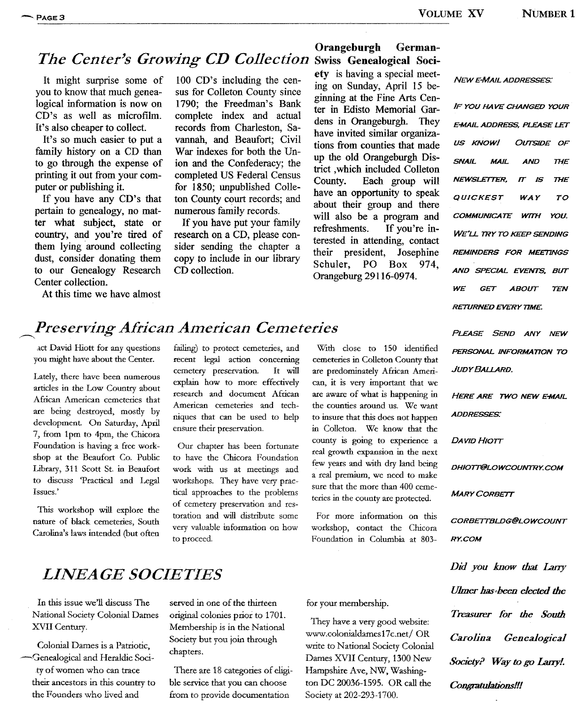### Orangeburgh German-The Center's Growing CD Collection Swiss Genealogical Soci-

It might surprise some of you to know that much genealogical information is now on CD's as well as microfilm. It's also cheaper to collect.

It's so much easier to put a family history on a CD than to go through the expense of printing it out from your computer or publishing it.

If you have any CD's that pertain to genealogy, no matter what subject, state or country, and you're tired of them lying around collecting dust, consider donating them to our Genealogy Research Center collection.

At this time we have almost

100 CD's including the census for Colleton County since 1790; the Freedman's Bank complete index and actual records from Charleston, Savannah, and Beaufort; Civil War indexes for both the Union and the Confederacy; the completed US Federal Census for 1850; unpublished Colleton County court records; and numerous family records.

If you have put your family research on a CD, please consider sending the chapter a copy to include in our library CD collection.

ety is having a special meeting on Sunday, April 15 beginning at the Fine Arts Center in Edisto Memorial Gardens in Orangeburgh. They have invited similar organizations from counties that made up the old Orangeburgh District ,which included Colleton County. Each group will have an opportunity to speak about their group and there will also be a program and<br>refreshments. If you're in-If you're interested in attending, contact<br>their president, Josephine their president, Josephine<br>Schuler, PO Box 974. Schuler, Orangeburg 29116-0974.

**NEW E-MAIL ADDRESSES:** 

WE GET ABOUT TEN AND SPECIAL EVENTS, BUT REMINDERS FOR ME£TlNGS WE'LL TRY TO KEEP SENDING COMMUNICATE WTTH YOU. QUICKEST WAY TO NEWSLETTER, IT IS THE SNAIL MAIL AND THE IF YOU HAVE CHANGED YOUR US KNOW! OUTSIDE OF E-MAIL ADDRESS. PLEASE LET **RETURNED EVERY TIME.** 

PERSONAL INFORMA710N TO JUDY BALLARD.

HERE ARE TWO NEW E-MAIL **ADDRESSES:** 

DAVID HIOTT

DH10TT@LOWCOUNTRY.COM

**MARY CORBETT** 

CORBETTBLDG@LOWCOUNT RY.COM

*lJJmerhas-been elected the Treasurer fOr the South Carolina Genealogical Society? Way to* go *LanyL Congratulations!!!*

# **Preserving African American Cemeteries** PLEASE SEND ANY NEW

act David Hiott for any questions you might have about the Center.

Lately, there have been numerous articles in the Low Country about African American cemeteries that are being destroyed, mosdy by development. On Saturday, April 7, from 1pm to 4pm, the Chicora Foundation is having a free workshop at the Beaufort Co. Public Library, 311 Scott St. in Beaufort to discuss 'Practical and Legal Issues.'

This workshop will explore the nature of black cemeteries, South Carolina's laws intended (but often

failing) to protect cemeteries, and recent legal action concerning cemetery preservation. It will explain how to more effectively research and document African American cemeteries and techniques that can be used to help ensure their preservation.

Our chapter has been fortunate to have the Chicora Foundation work with us at meetings and workshops. They have very practical approaches to the problems of cemetery preservation and restoration and will distribute some very valuable information on how to proceed.

With close to 150 identified cemeteries in Colleton County that are predominately African American, it is very important that we are aware of what is happening in the counties around us. We want to insure that this does not happen in Colleton. We know that the county is going to experience a real growth expansion in the next few years and with dry land being a real premium, we need to make sure that the more than 400 cemeteries in the county are protected.

For more information on this workshop, contact the Chicora Foundation in Columbia at 803-

# *LINEAGE SOCIETIES Did you know that Lany*

In this issue we'll discuss The National Society Colonial Dames XVII Century.

Colonial Dames *is* a Patriotic, -Genealogical and Heraldic Socity of women who can trace their ancestors in this country to the Founders who lived and

served in one of the thirteen original colonies prior to 1701. Membership *is* in the National Society but you join through chapters.

There are 18 categories of eligible service that you can choose from to provide documentation

for your membership.

They have a very good website: www.colonialdames17c.net/ OR write to National Society Colonial Dames XVII Century, 1300 New Hampshire Ave, NW, Washington DC 20036-1595. OR call the Society at 202-293-1700.